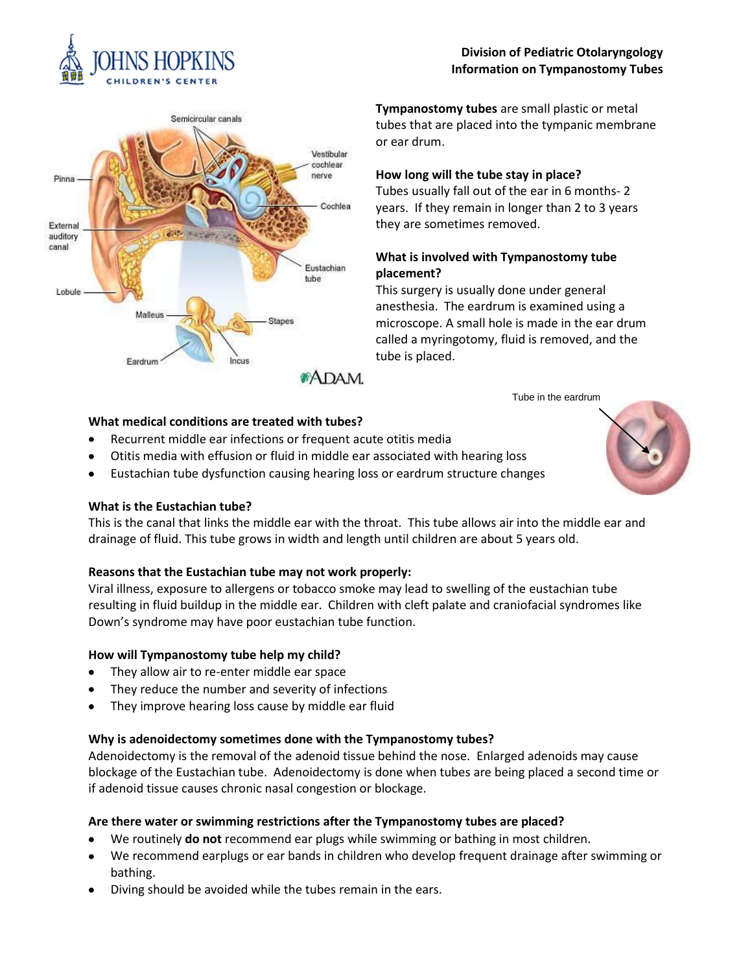

# Semicircular canals Vestibular cochlear nerve Pinna Cochlea External auditory canal Fustachian tube Lobule Malleus Stapes Eardrum

**Tympanostomy tubes** are small plastic or metal tubes that are placed into the tympanic membrane or ear drum.

**Division of Pediatric Otolaryngology Information on Tympanostomy Tubes**

## **How long will the tube stay in place?**

Tubes usually fall out of the ear in 6 months- 2 years. If they remain in longer than 2 to 3 years they are sometimes removed.

## **What is involved with Tympanostomy tube placement?**

This surgery is usually done under general anesthesia. The eardrum is examined using a microscope. A small hole is made in the ear drum called a myringotomy, fluid is removed, and the tube is placed.

Tube in the eardrum

**\*ADAM.** 

## **What medical conditions are treated with tubes?**

- Recurrent middle ear infections or frequent acute otitis media  $\bullet$
- Otitis media with effusion or fluid in middle ear associated with hearing loss  $\bullet$
- Eustachian tube dysfunction causing hearing loss or eardrum structure changes  $\bullet$

### **What is the Eustachian tube?**

This is the canal that links the middle ear with the throat. This tube allows air into the middle ear and drainage of fluid. This tube grows in width and length until children are about 5 years old.

## **Reasons that the Eustachian tube may not work properly:**

Viral illness, exposure to allergens or tobacco smoke may lead to swelling of the eustachian tube resulting in fluid buildup in the middle ear. Children with cleft palate and craniofacial syndromes like Down's syndrome may have poor eustachian tube function.

### **How will Tympanostomy tube help my child?**

- They allow air to re-enter middle ear space
- They reduce the number and severity of infections
- They improve hearing loss cause by middle ear fluid

## **Why is adenoidectomy sometimes done with the Tympanostomy tubes?**

Adenoidectomy is the removal of the adenoid tissue behind the nose. Enlarged adenoids may cause blockage of the Eustachian tube. Adenoidectomy is done when tubes are being placed a second time or if adenoid tissue causes chronic nasal congestion or blockage.

## **Are there water or swimming restrictions after the Tympanostomy tubes are placed?**

- We routinely **do not** recommend ear plugs while swimming or bathing in most children.
- We recommend earplugs or ear bands in children who develop frequent drainage after swimming or bathing.
- Diving should be avoided while the tubes remain in the ears.